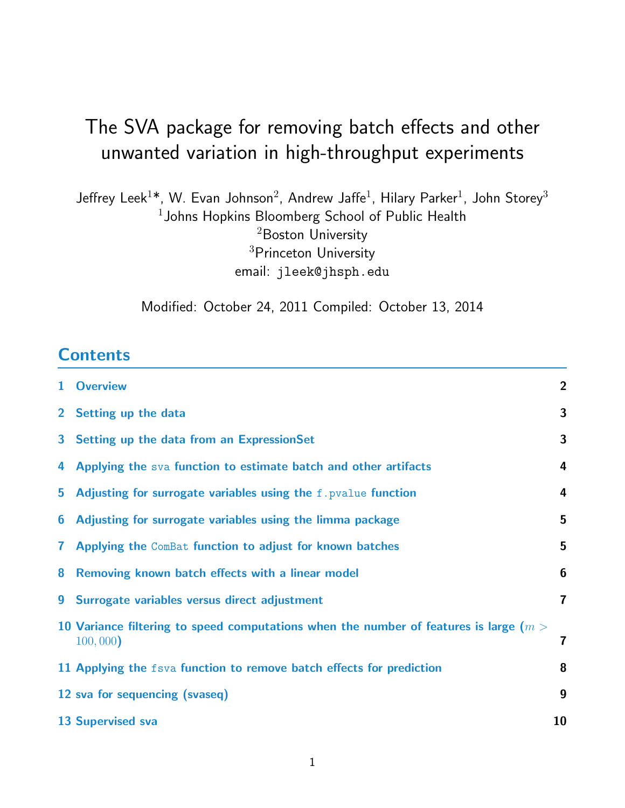Jeffrey Leek $^{1\textcolor{red}{*}}$ , W. Evan Johnson $^2$ , Andrew Jaffe $^1$ , Hilary Parker $^1$ , John Storey $^3$  $1$ Johns Hopkins Bloomberg School of Public Health <sup>2</sup>Boston University <sup>3</sup>Princeton University email: jleek@jhsph.edu

Modified: October 24, 2011 Compiled: October 13, 2014

#### **Contents**

|              | 1 Overview                                                                                          | $\overline{2}$          |
|--------------|-----------------------------------------------------------------------------------------------------|-------------------------|
|              | 2 Setting up the data                                                                               | 3                       |
|              | 3 Setting up the data from an ExpressionSet                                                         | 3                       |
| 4            | Applying the sva function to estimate batch and other artifacts                                     | 4                       |
| 5            | Adjusting for surrogate variables using the f. pvalue function                                      | $\overline{4}$          |
| 6            | Adjusting for surrogate variables using the limma package                                           | 5                       |
| $\mathbf{7}$ | Applying the ComBat function to adjust for known batches                                            | 5                       |
| 8            | Removing known batch effects with a linear model                                                    | $6\phantom{1}6$         |
|              | 9 Surrogate variables versus direct adjustment                                                      | $\overline{7}$          |
|              | 10 Variance filtering to speed computations when the number of features is large ( $m >$<br>100,000 | $\overline{\mathbf{r}}$ |
|              | 11 Applying the fsva function to remove batch effects for prediction                                | 8                       |
|              | 12 sva for sequencing (svaseq)                                                                      | 9                       |
|              | <b>13 Supervised sva</b>                                                                            | 10                      |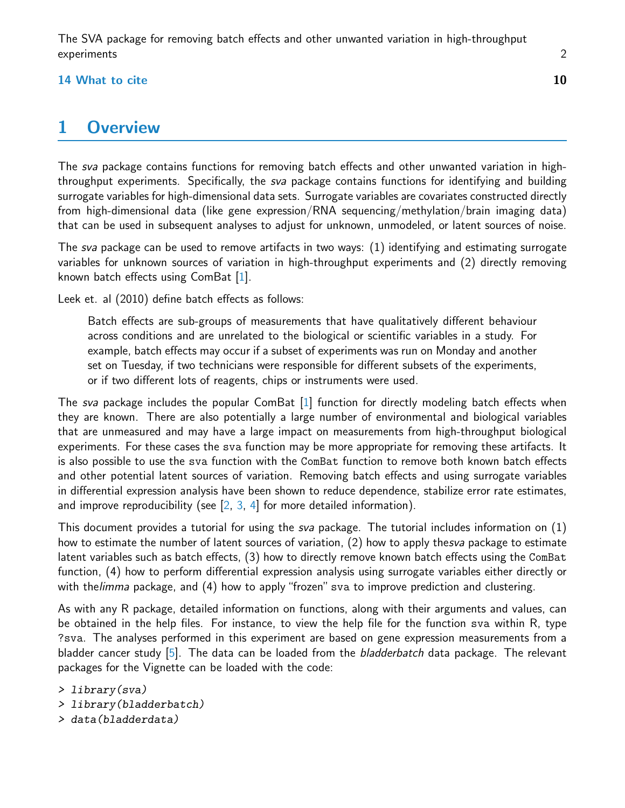#### $14$  What to cite  $10$

### <span id="page-1-0"></span>1 Overview

The sva package contains functions for removing batch effects and other unwanted variation in highthroughput experiments. Specifically, the sva package contains functions for identifying and building surrogate variables for high-dimensional data sets. Surrogate variables are covariates constructed directly from high-dimensional data (like gene expression/RNA sequencing/methylation/brain imaging data) that can be used in subsequent analyses to adjust for unknown, unmodeled, or latent sources of noise.

The sva package can be used to remove artifacts in two ways: (1) identifying and estimating surrogate variables for unknown sources of variation in high-throughput experiments and (2) directly removing known batch effects using ComBat [\[1\]](#page-10-0).

Leek et. al (2010) define batch effects as follows:

Batch effects are sub-groups of measurements that have qualitatively different behaviour across conditions and are unrelated to the biological or scientific variables in a study. For example, batch effects may occur if a subset of experiments was run on Monday and another set on Tuesday, if two technicians were responsible for different subsets of the experiments, or if two different lots of reagents, chips or instruments were used.

The sva package includes the popular ComBat [\[1\]](#page-10-0) function for directly modeling batch effects when they are known. There are also potentially a large number of environmental and biological variables that are unmeasured and may have a large impact on measurements from high-throughput biological experiments. For these cases the sva function may be more appropriate for removing these artifacts. It is also possible to use the sva function with the ComBat function to remove both known batch effects and other potential latent sources of variation. Removing batch effects and using surrogate variables in differential expression analysis have been shown to reduce dependence, stabilize error rate estimates, and improve reproducibility (see  $[2, 3, 4]$  $[2, 3, 4]$  $[2, 3, 4]$  $[2, 3, 4]$  $[2, 3, 4]$  for more detailed information).

This document provides a tutorial for using the sva package. The tutorial includes information on (1) how to estimate the number of latent sources of variation, (2) how to apply thesva package to estimate latent variables such as batch effects, (3) how to directly remove known batch effects using the ComBat function, (4) how to perform differential expression analysis using surrogate variables either directly or with thelimma package, and (4) how to apply "frozen" sva to improve prediction and clustering.

As with any R package, detailed information on functions, along with their arguments and values, can be obtained in the help files. For instance, to view the help file for the function sva within R, type ?sva. The analyses performed in this experiment are based on gene expression measurements from a bladder cancer study  $[5]$ . The data can be loaded from the *bladderbatch* data package. The relevant packages for the Vignette can be loaded with the code:

- > library(sva)
- > library(bladderbatch)
- > data(bladderdata)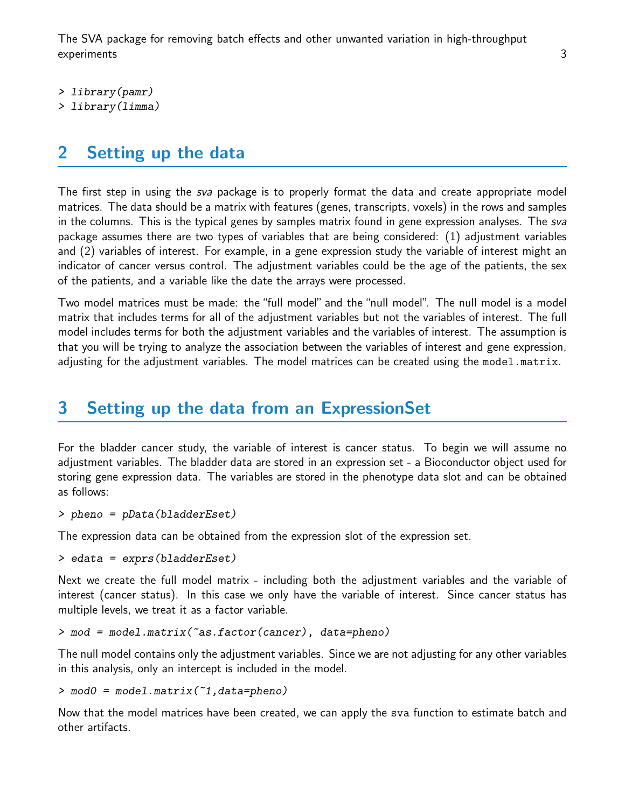> library(pamr)

> library(limma)

#### <span id="page-2-0"></span>2 Setting up the data

The first step in using the *sva* package is to properly format the data and create appropriate model matrices. The data should be a matrix with features (genes, transcripts, voxels) in the rows and samples in the columns. This is the typical genes by samples matrix found in gene expression analyses. The sva package assumes there are two types of variables that are being considered: (1) adjustment variables and (2) variables of interest. For example, in a gene expression study the variable of interest might an indicator of cancer versus control. The adjustment variables could be the age of the patients, the sex of the patients, and a variable like the date the arrays were processed.

Two model matrices must be made: the "full model" and the "null model". The null model is a model matrix that includes terms for all of the adjustment variables but not the variables of interest. The full model includes terms for both the adjustment variables and the variables of interest. The assumption is that you will be trying to analyze the association between the variables of interest and gene expression, adjusting for the adjustment variables. The model matrices can be created using the model.matrix.

#### <span id="page-2-1"></span>3 Setting up the data from an ExpressionSet

For the bladder cancer study, the variable of interest is cancer status. To begin we will assume no adjustment variables. The bladder data are stored in an expression set - a Bioconductor object used for storing gene expression data. The variables are stored in the phenotype data slot and can be obtained as follows:

> pheno = pData(bladderEset)

The expression data can be obtained from the expression slot of the expression set.

> edata = exprs(bladderEset)

Next we create the full model matrix - including both the adjustment variables and the variable of interest (cancer status). In this case we only have the variable of interest. Since cancer status has multiple levels, we treat it as a factor variable.

> mod = model.matrix(~as.factor(cancer), data=pheno)

The null model contains only the adjustment variables. Since we are not adjusting for any other variables in this analysis, only an intercept is included in the model.

> mod0 = model.matrix(~1,data=pheno)

Now that the model matrices have been created, we can apply the sva function to estimate batch and other artifacts.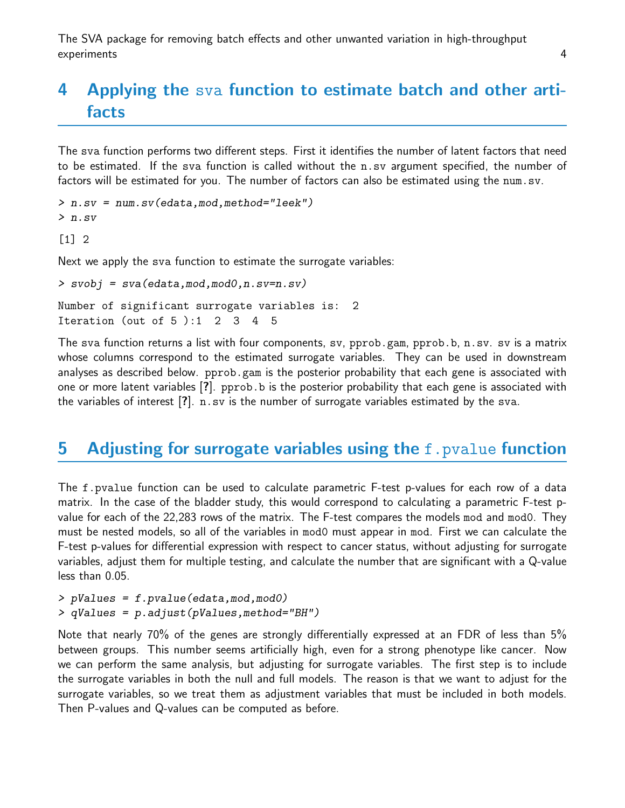### <span id="page-3-0"></span>4 Applying the sva function to estimate batch and other artifacts

The sva function performs two different steps. First it identifies the number of latent factors that need to be estimated. If the sva function is called without the n.sv argument specified, the number of factors will be estimated for you. The number of factors can also be estimated using the num.sv.

```
> n.sv = num.sv(edata,mod,method="leek")
> n.sv
```
[1] 2

Next we apply the sva function to estimate the surrogate variables:

```
> svobj = sva(edata,mod,mod0,n.sv=n.sv)
Number of significant surrogate variables is: 2
Iteration (out of 5 ):1 2 3 4 5
```
The sva function returns a list with four components, sv, pprob.gam, pprob.b, n.sv. sv is a matrix whose columns correspond to the estimated surrogate variables. They can be used in downstream analyses as described below. pprob.gam is the posterior probability that each gene is associated with one or more latent variables [?]. pprob.b is the posterior probability that each gene is associated with the variables of interest [?]. n.sv is the number of surrogate variables estimated by the sva.

#### <span id="page-3-1"></span>**5** Adjusting for surrogate variables using the f. pvalue function

The f.pvalue function can be used to calculate parametric F-test p-values for each row of a data matrix. In the case of the bladder study, this would correspond to calculating a parametric F-test pvalue for each of the 22,283 rows of the matrix. The F-test compares the models mod and mod0. They must be nested models, so all of the variables in mod0 must appear in mod. First we can calculate the F-test p-values for differential expression with respect to cancer status, without adjusting for surrogate variables, adjust them for multiple testing, and calculate the number that are significant with a Q-value less than 0.05.

```
> pValues = f.pvalue(edata,mod,mod0)
> qValues = p.adjust(pValues,method="BH")
```
Note that nearly 70% of the genes are strongly differentially expressed at an FDR of less than 5% between groups. This number seems artificially high, even for a strong phenotype like cancer. Now we can perform the same analysis, but adjusting for surrogate variables. The first step is to include the surrogate variables in both the null and full models. The reason is that we want to adjust for the surrogate variables, so we treat them as adjustment variables that must be included in both models. Then P-values and Q-values can be computed as before.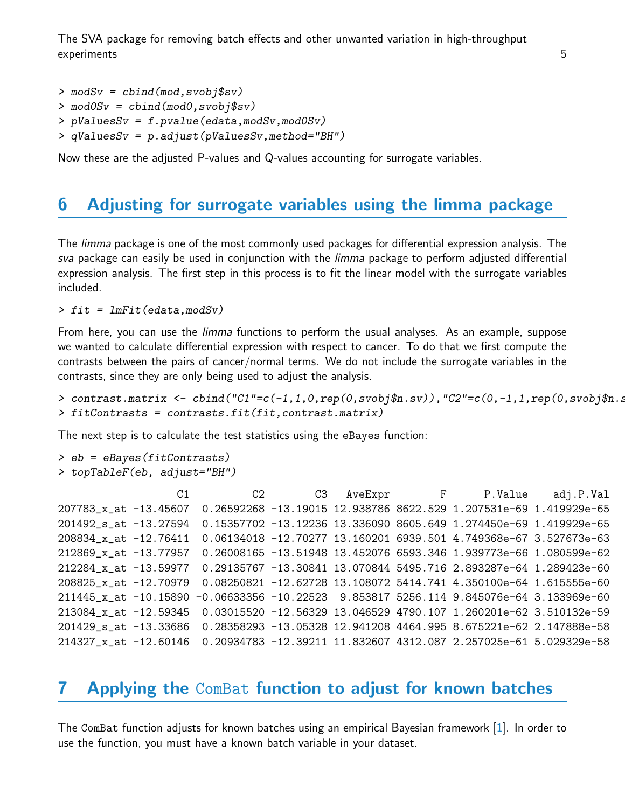```
> modSv = cbind(mod,svobj$sv)
> mod0Sv = cbind(mod0,svobj$sv)
> pValuesSv = f.pvalue(edata, modSv, modOSv)> qValuesSv = p.adjust(pValuesSv, method="BH")
```
Now these are the adjusted P-values and Q-values accounting for surrogate variables.

### <span id="page-4-0"></span>6 Adjusting for surrogate variables using the limma package

The *limma* package is one of the most commonly used packages for differential expression analysis. The sva package can easily be used in conjunction with the *limma* package to perform adjusted differential expression analysis. The first step in this process is to fit the linear model with the surrogate variables included.

```
> fit = ImFit (edata, modSv)
```
From here, you can use the *limma* functions to perform the usual analyses. As an example, suppose we wanted to calculate differential expression with respect to cancer. To do that we first compute the contrasts between the pairs of cancer/normal terms. We do not include the surrogate variables in the contrasts, since they are only being used to adjust the analysis.

```
> contrast.matrix <- cbind("C1"=c(-1,1,0,rep(0,svobj$n.sv)),"C2"=c(0,-1,1,rep(0,svobj$n.s
> fitContrasts = contrasts.fit(fit,contrast.matrix)
```
The next step is to calculate the test statistics using the eBayes function:

```
> eb = eBayes(fitContrasts)
> topTableF(eb, adjust="BH")
```

|                       | C1 |  |  | C2 C3 AveExpr F P.Value                                                                 | adj.P.Val |
|-----------------------|----|--|--|-----------------------------------------------------------------------------------------|-----------|
|                       |    |  |  | 207783_x_at -13.45607 0.26592268 -13.19015 12.938786 8622.529 1.207531e-69 1.419929e-65 |           |
| 201492 s_at -13.27594 |    |  |  | 0.15357702 -13.12236 13.336090 8605.649 1.274450e-69 1.419929e-65                       |           |
| 208834_x_at -12.76411 |    |  |  | 0.06134018 -12.70277 13.160201 6939.501 4.749368e-67 3.527673e-63                       |           |
| 212869_x_at -13.77957 |    |  |  | 0.26008165 -13.51948 13.452076 6593.346 1.939773e-66 1.080599e-62                       |           |
|                       |    |  |  | 212284_x_at -13.59977 0.29135767 -13.30841 13.070844 5495.716 2.893287e-64 1.289423e-60 |           |
|                       |    |  |  | 208825_x_at -12.70979 0.08250821 -12.62728 13.108072 5414.741 4.350100e-64 1.615555e-60 |           |
|                       |    |  |  | 211445_x_at -10.15890 -0.06633356 -10.22523 9.853817 5256.114 9.845076e-64 3.133969e-60 |           |
|                       |    |  |  | 213084 x at -12.59345 0.03015520 -12.56329 13.046529 4790.107 1.260201e-62 3.510132e-59 |           |
|                       |    |  |  | 201429_s_at -13.33686 0.28358293 -13.05328 12.941208 4464.995 8.675221e-62 2.147888e-58 |           |
|                       |    |  |  | 214327_x_at -12.60146 0.20934783 -12.39211 11.832607 4312.087 2.257025e-61 5.029329e-58 |           |

#### <span id="page-4-1"></span>7 Applying the ComBat function to adjust for known batches

The ComBat function adjusts for known batches using an empirical Bayesian framework [\[1\]](#page-10-0). In order to use the function, you must have a known batch variable in your dataset.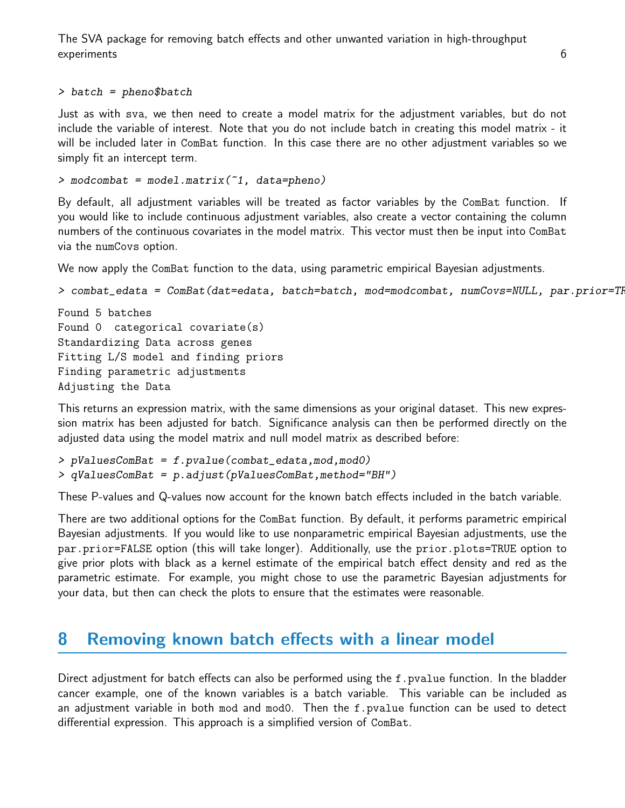```
> batch = pheno$batch
```
Just as with sva, we then need to create a model matrix for the adjustment variables, but do not include the variable of interest. Note that you do not include batch in creating this model matrix - it will be included later in ComBat function. In this case there are no other adjustment variables so we simply fit an intercept term.

```
> modcombat = model.matrix(~1, data=pheno)
```
By default, all adjustment variables will be treated as factor variables by the ComBat function. If you would like to include continuous adjustment variables, also create a vector containing the column numbers of the continuous covariates in the model matrix. This vector must then be input into ComBat via the numCovs option.

We now apply the ComBat function to the data, using parametric empirical Bayesian adjustments.

```
> combat_edata = ComBat(dat=edata, batch=batch, mod=modcombat, numCovs=NULL, par.prior=TI
```

```
Found 5 batches
Found 0 categorical covariate(s)
Standardizing Data across genes
Fitting L/S model and finding priors
Finding parametric adjustments
Adjusting the Data
```
This returns an expression matrix, with the same dimensions as your original dataset. This new expression matrix has been adjusted for batch. Significance analysis can then be performed directly on the adjusted data using the model matrix and null model matrix as described before:

```
> pValuesComBat = f.pvalue(combat_edata,mod,mod0)
> qValuesComBat = p.adjust(pValuesComBat,method="BH")
```
These P-values and Q-values now account for the known batch effects included in the batch variable.

There are two additional options for the ComBat function. By default, it performs parametric empirical Bayesian adjustments. If you would like to use nonparametric empirical Bayesian adjustments, use the par.prior=FALSE option (this will take longer). Additionally, use the prior.plots=TRUE option to give prior plots with black as a kernel estimate of the empirical batch effect density and red as the parametric estimate. For example, you might chose to use the parametric Bayesian adjustments for your data, but then can check the plots to ensure that the estimates were reasonable.

#### <span id="page-5-0"></span>8 Removing known batch effects with a linear model

Direct adjustment for batch effects can also be performed using the f. pvalue function. In the bladder cancer example, one of the known variables is a batch variable. This variable can be included as an adjustment variable in both mod and mod0. Then the f.pvalue function can be used to detect differential expression. This approach is a simplified version of ComBat.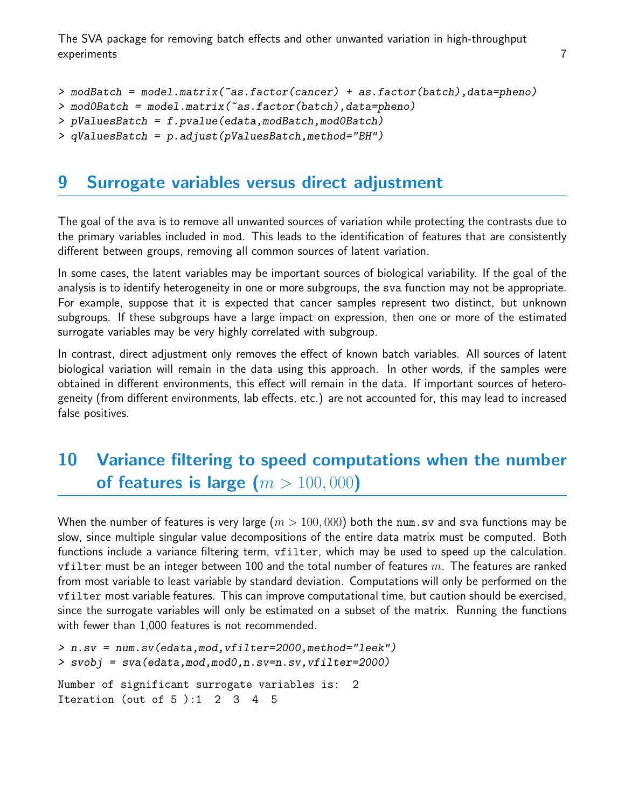The SVA package for removing batch effects and other unwanted variation in high-throughput experiments and the contract of the contract of the contract of the contract of the contract of the contract of

```
> modBatch = model.matrix(~as.factor(cancer) + as.factor(batch),data=pheno)
```

```
> mod0Batch = model.matrix(~as.factor(batch),data=pheno)
```

```
> pValuesBatch = f.pvalue(edata,modBatch,mod0Batch)
```

```
> qValuesBatch = p.adjust(pValuesBatch,method="BH")
```
#### <span id="page-6-0"></span>9 Surrogate variables versus direct adjustment

The goal of the sva is to remove all unwanted sources of variation while protecting the contrasts due to the primary variables included in mod. This leads to the identification of features that are consistently different between groups, removing all common sources of latent variation.

In some cases, the latent variables may be important sources of biological variability. If the goal of the analysis is to identify heterogeneity in one or more subgroups, the sva function may not be appropriate. For example, suppose that it is expected that cancer samples represent two distinct, but unknown subgroups. If these subgroups have a large impact on expression, then one or more of the estimated surrogate variables may be very highly correlated with subgroup.

In contrast, direct adjustment only removes the effect of known batch variables. All sources of latent biological variation will remain in the data using this approach. In other words, if the samples were obtained in different environments, this effect will remain in the data. If important sources of heterogeneity (from different environments, lab effects, etc.) are not accounted for, this may lead to increased false positives.

## <span id="page-6-1"></span>10 Variance filtering to speed computations when the number of features is large  $(m > 100,000)$

When the number of features is very large  $(m > 100,000)$  both the num sv and sva functions may be slow, since multiple singular value decompositions of the entire data matrix must be computed. Both functions include a variance filtering term, vfilter, which may be used to speed up the calculation. vfilter must be an integer between 100 and the total number of features  $m$ . The features are ranked from most variable to least variable by standard deviation. Computations will only be performed on the vfilter most variable features. This can improve computational time, but caution should be exercised, since the surrogate variables will only be estimated on a subset of the matrix. Running the functions with fewer than 1,000 features is not recommended.

```
> n.sv = num.sv(edata,mod,vfilter=2000,method="leek")
> svobj = sva(edata,mod,mod0,n.sv=n.sv,vfilter=2000)
Number of significant surrogate variables is: 2
Iteration (out of 5 ):1 2 3 4 5
```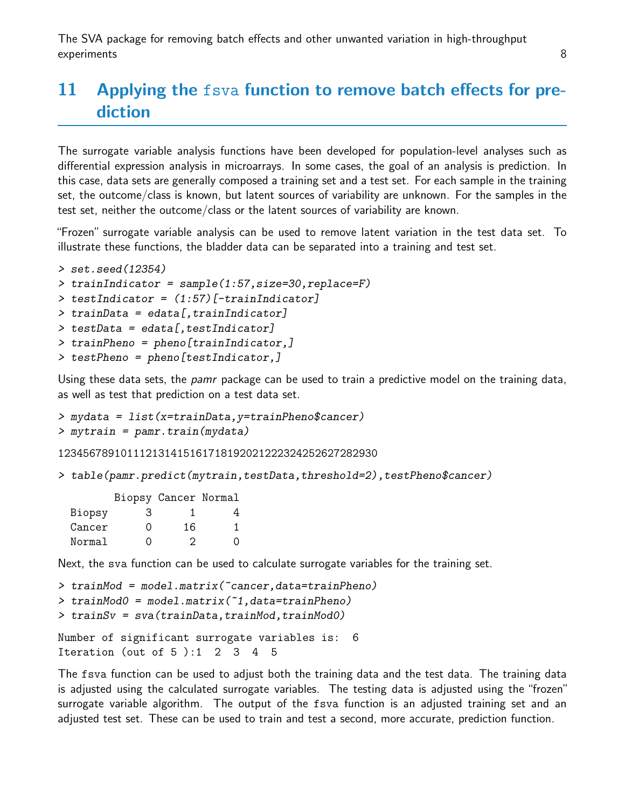## <span id="page-7-0"></span>11 Applying the fsva function to remove batch effects for prediction

The surrogate variable analysis functions have been developed for population-level analyses such as differential expression analysis in microarrays. In some cases, the goal of an analysis is prediction. In this case, data sets are generally composed a training set and a test set. For each sample in the training set, the outcome/class is known, but latent sources of variability are unknown. For the samples in the test set, neither the outcome/class or the latent sources of variability are known.

"Frozen" surrogate variable analysis can be used to remove latent variation in the test data set. To illustrate these functions, the bladder data can be separated into a training and test set.

```
> set.seed(12354)
> trainIndicator = sample(1:57,size=30,replace=F)
\ge testIndicator = (1:57) [-trainIndicator]
> trainData = edata[,trainIndicator]
> testData = edata[, testIndicator]
> trainPheno = pheno[trainIndicator,]
> testPheno = pheno[testIndicator,]
```
Using these data sets, the *pamr* package can be used to train a predictive model on the training data, as well as test that prediction on a test data set.

```
> mydata = list(x=trainData,y=trainPheno$cancer)
> mytrain = pamr.train(mydata)
```
123456789101112131415161718192021222324252627282930

> table(pamr.predict(mytrain,testData,threshold=2),testPheno\$cancer)

|        |                | Biopsy Cancer Normal |   |  |
|--------|----------------|----------------------|---|--|
| Biopsy | З              |                      |   |  |
| Cancer | $\mathfrak{g}$ | 16                   | 1 |  |
| Normal | $\mathfrak{g}$ | 2                    | 0 |  |

Next, the sva function can be used to calculate surrogate variables for the training set.

```
> trainMod = model.matrix(~cancer,data=trainPheno)
> trainMod0 = model.matrix(~1,data=trainPheno)
> trainSv = sva(trainData, trainMod, trainMod()
```

```
Number of significant surrogate variables is: 6
Iteration (out of 5):1 2 3 4 5
```
The fsva function can be used to adjust both the training data and the test data. The training data is adjusted using the calculated surrogate variables. The testing data is adjusted using the "frozen" surrogate variable algorithm. The output of the fsva function is an adjusted training set and an adjusted test set. These can be used to train and test a second, more accurate, prediction function.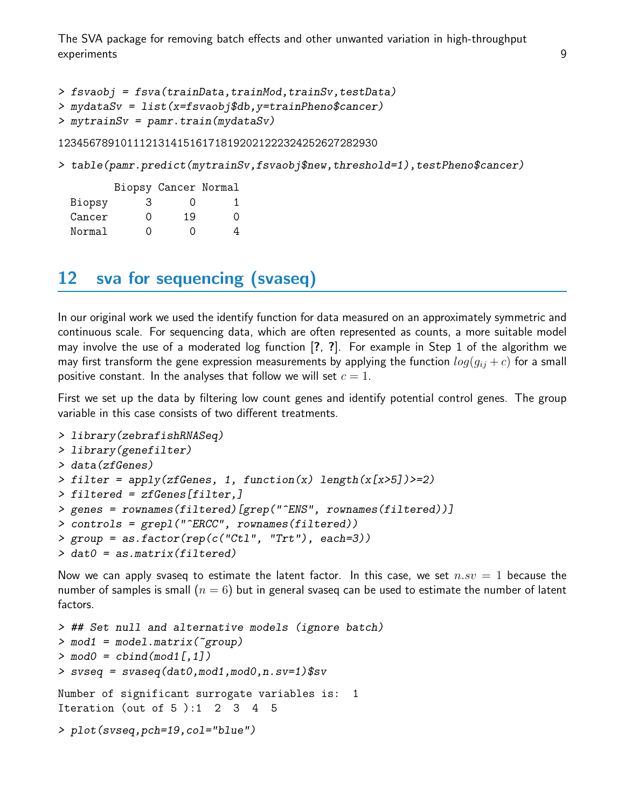```
> fsvaobj = fsva(trainData,trainMod,trainSv,testData)
```

```
> mydataSv = list(x=fsvaobj$db,y=trainPheno$cancer)
```

```
> mytrainSv = pamr.train(mydataSv)
```
123456789101112131415161718192021222324252627282930

> table(pamr.predict(mytrainSv,fsvaobj\$new,threshold=1),testPheno\$cancer)

|        |   | Biopsy Cancer Normal |   |
|--------|---|----------------------|---|
| Biopsy | З | $\left( \right)$     |   |
| Cancer | Ω | 19                   | Ω |
| Normal | 0 | 0                    |   |

#### <span id="page-8-0"></span>12 sva for sequencing (svaseq)

In our original work we used the identify function for data measured on an approximately symmetric and continuous scale. For sequencing data, which are often represented as counts, a more suitable model may involve the use of a moderated log function [?, ?]. For example in Step 1 of the algorithm we may first transform the gene expression measurements by applying the function  $log(q_{ij} + c)$  for a small positive constant. In the analyses that follow we will set  $c = 1$ .

First we set up the data by filtering low count genes and identify potential control genes. The group variable in this case consists of two different treatments.

```
> library(zebrafishRNASeq)
> library(genefilter)
> data(zfGenes)
> filter = apply(zfGenes, 1, function(x) length(x[x>5])>=2)> filtered = zfGenes[filter,]
> genes = rownames(filtered)[grep("^ENS", rownames(filtered))]
> controls = grepl("^ERCC", rownames(filtered))
> group = as.factor(rep(c("Ctl", "Trt"), each=3))
> dat0 = as.matrix(filtered)
```
Now we can apply svaseq to estimate the latent factor. In this case, we set  $n.sv = 1$  because the number of samples is small  $(n = 6)$  but in general svaseq can be used to estimate the number of latent factors.

```
> ## Set null and alternative models (ignore batch)
> mod1 = model.matrix(~group)
> \text{mod}0 = \text{cbind}(\text{mod}1[,1])> svseq = svaseq(dat0, mod1, mod0, n.sv=1) ssv
Number of significant surrogate variables is: 1
Iteration (out of 5 ):1 2 3 4 5
> plot(svseq,pch=19,col="blue")
```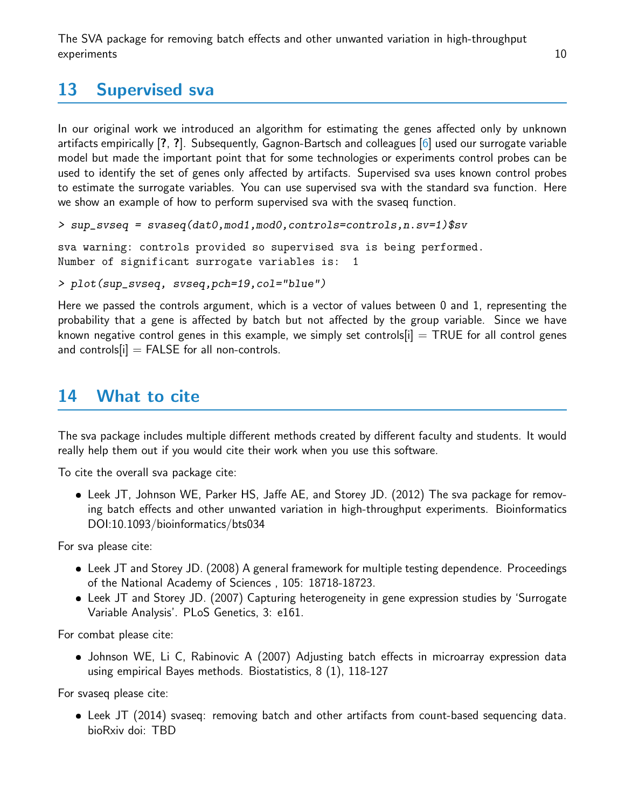### <span id="page-9-0"></span>13 Supervised sva

In our original work we introduced an algorithm for estimating the genes affected only by unknown artifacts empirically [?, ?]. Subsequently, Gagnon-Bartsch and colleagues [\[6\]](#page-10-5) used our surrogate variable model but made the important point that for some technologies or experiments control probes can be used to identify the set of genes only affected by artifacts. Supervised sva uses known control probes to estimate the surrogate variables. You can use supervised sva with the standard sva function. Here we show an example of how to perform supervised sva with the svaseq function.

```
> sup_svseq = svaseq(dat0, mod1, mod0, controls=controls, n.sv=1)$sv
```
sva warning: controls provided so supervised sva is being performed. Number of significant surrogate variables is: 1

```
> plot(sup_svseq, svseq,pch=19,col="blue")
```
Here we passed the controls argument, which is a vector of values between 0 and 1, representing the probability that a gene is affected by batch but not affected by the group variable. Since we have known negative control genes in this example, we simply set controls  $|i|$  = TRUE for all control genes and controls $[i]$  = FALSE for all non-controls.

#### <span id="page-9-1"></span>14 What to cite

The sva package includes multiple different methods created by different faculty and students. It would really help them out if you would cite their work when you use this software.

To cite the overall sva package cite:

 Leek JT, Johnson WE, Parker HS, Jaffe AE, and Storey JD. (2012) The sva package for removing batch effects and other unwanted variation in high-throughput experiments. Bioinformatics DOI:10.1093/bioinformatics/bts034

For sva please cite:

- Leek JT and Storey JD. (2008) A general framework for multiple testing dependence. Proceedings of the National Academy of Sciences , 105: 18718-18723.
- Leek JT and Storey JD. (2007) Capturing heterogeneity in gene expression studies by 'Surrogate Variable Analysis'. PLoS Genetics, 3: e161.

For combat please cite:

 Johnson WE, Li C, Rabinovic A (2007) Adjusting batch effects in microarray expression data using empirical Bayes methods. Biostatistics, 8 (1), 118-127

For svaseq please cite:

 Leek JT (2014) svaseq: removing batch and other artifacts from count-based sequencing data. bioRxiv doi: TBD